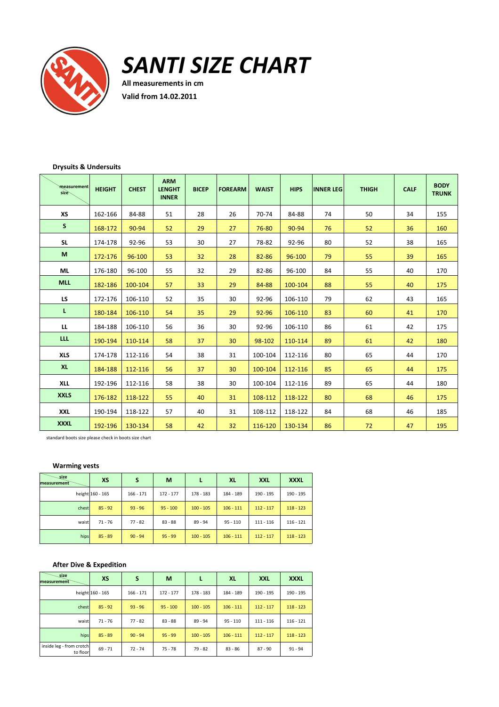

*SANTI SIZE CHART*

**All measurements in cm Valid from 14.02.2011**

# **Drysuits & Undersuits**

| measurement<br>size | <b>HEIGHT</b> | <b>CHEST</b> | <b>ARM</b><br><b>LENGHT</b><br><b>INNER</b> | <b>BICEP</b> | <b>FOREARM</b> | <b>WAIST</b> | <b>HIPS</b> | <b>INNER LEG</b> | <b>THIGH</b> | <b>CALF</b> | <b>BODY</b><br><b>TRUNK</b> |
|---------------------|---------------|--------------|---------------------------------------------|--------------|----------------|--------------|-------------|------------------|--------------|-------------|-----------------------------|
| XS                  | 162-166       | 84-88        | 51                                          | 28           | 26             | 70-74        | 84-88       | 74               | 50           | 34          | 155                         |
| S                   | 168-172       | 90-94        | 52                                          | 29           | 27             | 76-80        | 90-94       | 76               | 52           | 36          | 160                         |
| <b>SL</b>           | 174-178       | 92-96        | 53                                          | 30           | 27             | 78-82        | 92-96       | 80               | 52           | 38          | 165                         |
| M                   | 172-176       | 96-100       | 53                                          | 32           | 28             | 82-86        | 96-100      | 79               | 55           | 39          | 165                         |
| <b>ML</b>           | 176-180       | 96-100       | 55                                          | 32           | 29             | 82-86        | 96-100      | 84               | 55           | 40          | 170                         |
| <b>MLL</b>          | 182-186       | 100-104      | 57                                          | 33           | 29             | 84-88        | 100-104     | 88               | 55           | 40          | 175                         |
| LS.                 | 172-176       | 106-110      | 52                                          | 35           | 30             | 92-96        | 106-110     | 79               | 62           | 43          | 165                         |
| L.                  | 180-184       | 106-110      | 54                                          | 35           | 29             | 92-96        | 106-110     | 83               | 60           | 41          | 170                         |
| LL                  | 184-188       | 106-110      | 56                                          | 36           | 30             | 92-96        | 106-110     | 86               | 61           | 42          | 175                         |
| <b>LLL</b>          | 190-194       | 110-114      | 58                                          | 37           | 30             | 98-102       | 110-114     | 89               | 61           | 42          | 180                         |
| <b>XLS</b>          | 174-178       | 112-116      | 54                                          | 38           | 31             | 100-104      | 112-116     | 80               | 65           | 44          | 170                         |
| <b>XL</b>           | 184-188       | 112-116      | 56                                          | 37           | 30             | 100-104      | 112-116     | 85               | 65           | 44          | 175                         |
| <b>XLL</b>          | 192-196       | 112-116      | 58                                          | 38           | 30             | 100-104      | 112-116     | 89               | 65           | 44          | 180                         |
| <b>XXLS</b>         | 176-182       | 118-122      | 55                                          | 40           | 31             | 108-112      | 118-122     | 80               | 68           | 46          | 175                         |
| <b>XXL</b>          | 190-194       | 118-122      | 57                                          | 40           | 31             | 108-112      | 118-122     | 84               | 68           | 46          | 185                         |
| <b>XXXL</b>         | 192-196       | 130-134      | 58                                          | 42           | 32             | 116-120      | 130-134     | 86               | 72           | 47          | 195                         |

standard boots size please check in boots size chart

## **Warming vests**

| _size<br>measurement | XS               | S           | M           |             | XL          | <b>XXL</b>  | <b>XXXL</b> |
|----------------------|------------------|-------------|-------------|-------------|-------------|-------------|-------------|
|                      | height 160 - 165 | $166 - 171$ | $172 - 177$ | 178 - 183   | 184 - 189   | 190 - 195   | 190 - 195   |
| chest                | $85 - 92$        | $93 - 96$   | $95 - 100$  | $100 - 105$ | $106 - 111$ | $112 - 117$ | $118 - 123$ |
| waist                | 71 - 76          | $77 - 82$   | $83 - 88$   | $89 - 94$   | $95 - 110$  | $111 - 116$ | $116 - 121$ |
| hips                 | $85 - 89$        | $90 - 94$   | $95 - 99$   | $100 - 105$ | $106 - 111$ | $112 - 117$ | $118 - 123$ |

# **After Dive & Expedition**

| _size<br>measurement                 | <b>XS</b>        | S           | М           |             | <b>XL</b>   | <b>XXL</b>  | <b>XXXL</b> |
|--------------------------------------|------------------|-------------|-------------|-------------|-------------|-------------|-------------|
|                                      | height 160 - 165 | $166 - 171$ | $172 - 177$ | 178 - 183   | 184 - 189   | 190 - 195   | 190 - 195   |
| chest                                | $85 - 92$        | $93 - 96$   | $95 - 100$  | $100 - 105$ | $106 - 111$ | $112 - 117$ | $118 - 123$ |
| waist                                | $71 - 76$        | $77 - 82$   | $83 - 88$   | $89 - 94$   | $95 - 110$  | $111 - 116$ | $116 - 121$ |
| hips                                 | $85 - 89$        | $90 - 94$   | $95 - 99$   | $100 - 105$ | $106 - 111$ | $112 - 117$ | $118 - 123$ |
| inside leg - from crotch<br>to floor | $69 - 71$        | $72 - 74$   | $75 - 78$   | $79 - 82$   | $83 - 86$   | $87 - 90$   | $91 - 94$   |